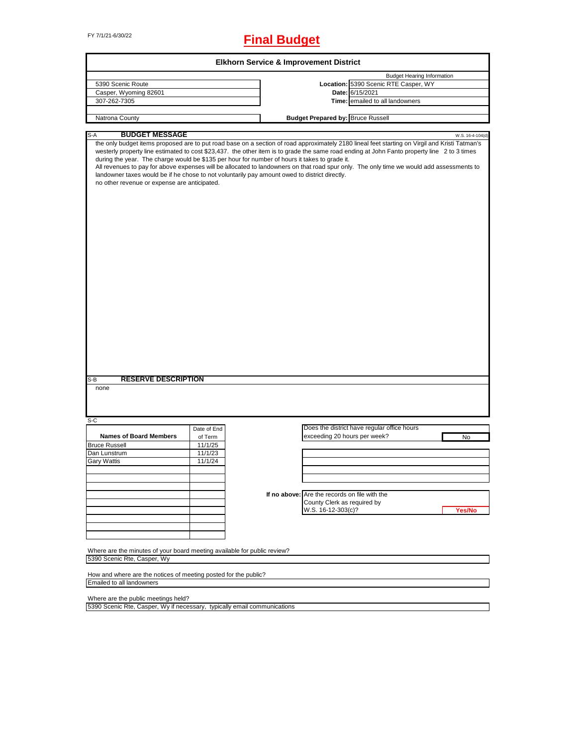FY 7/1/21-6/30/22 **Final Budget**

|                                                                                                                                                                                                                                                                                                                                                                                                                                                                                                                                           |             |                                               | <b>Budget Hearing Information</b>           |                  |
|-------------------------------------------------------------------------------------------------------------------------------------------------------------------------------------------------------------------------------------------------------------------------------------------------------------------------------------------------------------------------------------------------------------------------------------------------------------------------------------------------------------------------------------------|-------------|-----------------------------------------------|---------------------------------------------|------------------|
| 5390 Scenic Route                                                                                                                                                                                                                                                                                                                                                                                                                                                                                                                         |             |                                               | Location: 5390 Scenic RTE Casper, WY        |                  |
| Casper, Wyoming 82601                                                                                                                                                                                                                                                                                                                                                                                                                                                                                                                     |             |                                               | Date: 6/15/2021                             |                  |
| 307-262-7305                                                                                                                                                                                                                                                                                                                                                                                                                                                                                                                              |             |                                               | Time: emailed to all landowners             |                  |
|                                                                                                                                                                                                                                                                                                                                                                                                                                                                                                                                           |             |                                               |                                             |                  |
| Natrona County                                                                                                                                                                                                                                                                                                                                                                                                                                                                                                                            |             | <b>Budget Prepared by: Bruce Russell</b>      |                                             |                  |
| <b>BUDGET MESSAGE</b><br>$S-A$                                                                                                                                                                                                                                                                                                                                                                                                                                                                                                            |             |                                               |                                             | W.S. 16-4-104(d) |
| westerly property line estimated to cost \$23,437. the other item is to grade the same road ending at John Fanto property line 2 to 3 times<br>during the year. The charge would be \$135 per hour for number of hours it takes to grade it.<br>All revenues to pay for above expenses will be allocated to landowners on that road spur only. The only time we would add assessments to<br>landowner taxes would be if he chose to not voluntarily pay amount owed to district directly.<br>no other revenue or expense are anticipated. |             |                                               |                                             |                  |
|                                                                                                                                                                                                                                                                                                                                                                                                                                                                                                                                           |             |                                               |                                             |                  |
|                                                                                                                                                                                                                                                                                                                                                                                                                                                                                                                                           |             |                                               |                                             |                  |
| <b>RESERVE DESCRIPTION</b>                                                                                                                                                                                                                                                                                                                                                                                                                                                                                                                |             |                                               |                                             |                  |
| none                                                                                                                                                                                                                                                                                                                                                                                                                                                                                                                                      |             |                                               |                                             |                  |
|                                                                                                                                                                                                                                                                                                                                                                                                                                                                                                                                           |             |                                               |                                             |                  |
|                                                                                                                                                                                                                                                                                                                                                                                                                                                                                                                                           | Date of End |                                               | Does the district have regular office hours |                  |
| <b>Names of Board Members</b>                                                                                                                                                                                                                                                                                                                                                                                                                                                                                                             | of Term     | exceeding 20 hours per week?                  |                                             | No               |
|                                                                                                                                                                                                                                                                                                                                                                                                                                                                                                                                           | 11/1/25     |                                               |                                             |                  |
|                                                                                                                                                                                                                                                                                                                                                                                                                                                                                                                                           | 11/1/23     |                                               |                                             |                  |
|                                                                                                                                                                                                                                                                                                                                                                                                                                                                                                                                           | 11/1/24     |                                               |                                             |                  |
|                                                                                                                                                                                                                                                                                                                                                                                                                                                                                                                                           |             |                                               |                                             |                  |
|                                                                                                                                                                                                                                                                                                                                                                                                                                                                                                                                           |             |                                               |                                             |                  |
|                                                                                                                                                                                                                                                                                                                                                                                                                                                                                                                                           |             |                                               |                                             |                  |
|                                                                                                                                                                                                                                                                                                                                                                                                                                                                                                                                           |             | If no above: Are the records on file with the |                                             |                  |
|                                                                                                                                                                                                                                                                                                                                                                                                                                                                                                                                           |             | County Clerk as required by                   |                                             |                  |
|                                                                                                                                                                                                                                                                                                                                                                                                                                                                                                                                           |             |                                               |                                             |                  |
|                                                                                                                                                                                                                                                                                                                                                                                                                                                                                                                                           |             | W.S. 16-12-303(c)?                            |                                             | Yes/No           |
|                                                                                                                                                                                                                                                                                                                                                                                                                                                                                                                                           |             |                                               |                                             |                  |
|                                                                                                                                                                                                                                                                                                                                                                                                                                                                                                                                           |             |                                               |                                             |                  |
| $S-B$<br>$S-C$<br><b>Bruce Russell</b><br>Dan Lunstrum<br><b>Gary Wattis</b>                                                                                                                                                                                                                                                                                                                                                                                                                                                              |             |                                               |                                             |                  |
|                                                                                                                                                                                                                                                                                                                                                                                                                                                                                                                                           |             |                                               |                                             |                  |
|                                                                                                                                                                                                                                                                                                                                                                                                                                                                                                                                           |             |                                               |                                             |                  |
|                                                                                                                                                                                                                                                                                                                                                                                                                                                                                                                                           |             |                                               |                                             |                  |
| Where are the minutes of your board meeting available for public review?<br>5390 Scenic Rte, Casper, Wy                                                                                                                                                                                                                                                                                                                                                                                                                                   |             |                                               |                                             |                  |
| How and where are the notices of meeting posted for the public?<br>Emailed to all landowners                                                                                                                                                                                                                                                                                                                                                                                                                                              |             |                                               |                                             |                  |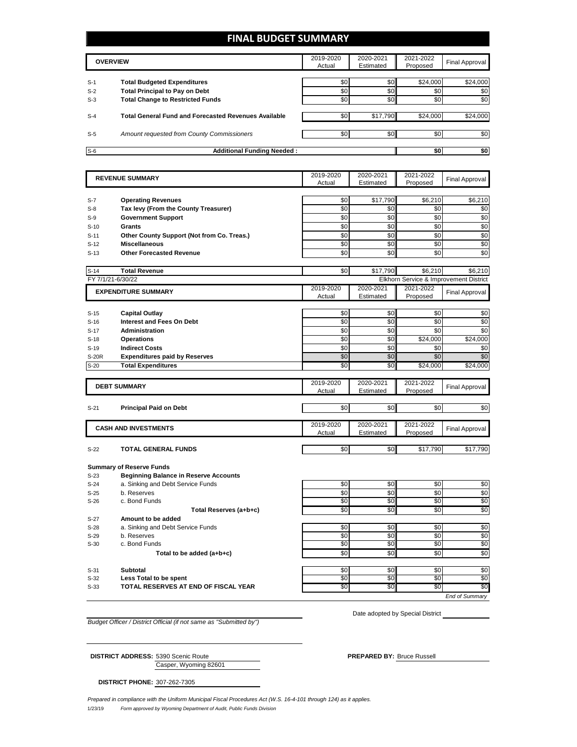### **FINAL BUDGET SUMMARY**

| <b>OVERVIEW</b> |                                                             | 2019-2020<br>Actual | 2020-2021<br>Estimated | 2021-2022<br>Proposed | Final Approval |
|-----------------|-------------------------------------------------------------|---------------------|------------------------|-----------------------|----------------|
| $S-1$           | <b>Total Budgeted Expenditures</b>                          | \$0                 | \$0                    | \$24,000              | \$24,000       |
| $S-2$           | <b>Total Principal to Pay on Debt</b>                       | \$0                 | \$0                    | \$0                   | \$0            |
| $S-3$           | <b>Total Change to Restricted Funds</b>                     | \$0                 | \$0                    | \$0                   | \$0            |
| $S-4$           | <b>Total General Fund and Forecasted Revenues Available</b> | \$0                 | \$17,790               | \$24,000              | \$24,000       |
| $S-5$           | Amount requested from County Commissioners                  | \$0                 | \$0                    | \$0                   | \$0            |
| $S-6$           | <b>Additional Funding Needed:</b>                           | \$0                 | \$0                    |                       |                |

|              | <b>REVENUE SUMMARY</b>                       | 2019-2020 | 2020-2021 | 2021-2022 | Final Approval                         |
|--------------|----------------------------------------------|-----------|-----------|-----------|----------------------------------------|
|              |                                              | Actual    | Estimated | Proposed  |                                        |
|              |                                              |           |           |           |                                        |
| $S-7$        | <b>Operating Revenues</b>                    | \$0       | \$17,790  | \$6,210   | \$6,210                                |
| $S-8$        | Tax levy (From the County Treasurer)         | \$0       | \$0       | \$0       | \$0                                    |
| $S-9$        | <b>Government Support</b>                    | \$0       | \$0       | \$0       | \$0                                    |
| $S-10$       | Grants                                       | \$0       | \$0       | \$0       | \$0                                    |
| $S-11$       | Other County Support (Not from Co. Treas.)   | \$0       | \$0       | \$0       | \$0                                    |
| $S-12$       | <b>Miscellaneous</b>                         | \$0       | \$0       | \$0       | \$0                                    |
| $S-13$       | <b>Other Forecasted Revenue</b>              | \$0       | \$0       | \$0       | \$0                                    |
| $S-14$       | <b>Total Revenue</b>                         | \$0       | \$17,790  | \$6,210   | \$6,210                                |
|              | FY 7/1/21-6/30/22                            |           |           |           | Elkhorn Service & Improvement District |
|              |                                              | 2019-2020 | 2020-2021 | 2021-2022 |                                        |
|              | <b>EXPENDITURE SUMMARY</b>                   | Actual    | Estimated | Proposed  | Final Approval                         |
|              |                                              |           |           |           |                                        |
| $S-15$       | <b>Capital Outlay</b>                        | \$0       | \$0       | \$0       | \$0                                    |
| $S-16$       | Interest and Fees On Debt                    | \$0       | \$0       | \$0       | \$0                                    |
| $S-17$       | <b>Administration</b>                        | \$0       | \$0       | \$0       | \$0                                    |
| $S-18$       | <b>Operations</b>                            | \$0       | \$0       | \$24,000  | \$24,000                               |
| $S-19$       | <b>Indirect Costs</b>                        | \$0       | \$0       | \$0       | \$0                                    |
| <b>S-20R</b> | <b>Expenditures paid by Reserves</b>         | \$0       | \$0       | \$0       | \$0                                    |
| $S-20$       | <b>Total Expenditures</b>                    | \$0       | \$0       | \$24,000  | \$24,000                               |
|              |                                              |           |           |           |                                        |
|              | <b>DEBT SUMMARY</b>                          | 2019-2020 | 2020-2021 | 2021-2022 | <b>Final Approval</b>                  |
|              |                                              | Actual    | Estimated | Proposed  |                                        |
| $S-21$       | <b>Principal Paid on Debt</b>                | \$0       | \$0       | \$0       | \$0                                    |
|              |                                              |           |           |           |                                        |
|              | <b>CASH AND INVESTMENTS</b>                  | 2019-2020 | 2020-2021 | 2021-2022 | Final Approval                         |
|              |                                              | Actual    | Estimated | Proposed  |                                        |
| $S-22$       | <b>TOTAL GENERAL FUNDS</b>                   | \$0       | \$0       | \$17,790  | \$17,790                               |
|              |                                              |           |           |           |                                        |
|              | <b>Summary of Reserve Funds</b>              |           |           |           |                                        |
| $S-23$       | <b>Beginning Balance in Reserve Accounts</b> |           |           |           |                                        |
| $S-24$       | a. Sinking and Debt Service Funds            | \$0       | \$0       | \$0       | \$0                                    |
| $S-25$       | b. Reserves                                  | \$0       | \$0       | \$0       | \$0                                    |
| $S-26$       | c. Bond Funds                                | \$0       | \$0       | $\$0$     | \$0                                    |
|              | Total Reserves (a+b+c)                       | \$0       | \$0       | \$0       | \$0                                    |
| $S-27$       | Amount to be added                           |           |           |           |                                        |
| $S-28$       | a. Sinking and Debt Service Funds            | \$0       | \$0       | \$0       | \$0                                    |
| $S-29$       | b. Reserves                                  | \$0       | \$0       | \$0       | \$0                                    |
| $S-30$       | c. Bond Funds                                | \$0       | \$0       | \$0       | \$0                                    |
|              | Total to be added (a+b+c)                    | \$0       | \$0       | \$0       | \$0                                    |
|              |                                              |           |           |           |                                        |
| $S-31$       | <b>Subtotal</b>                              | \$0       | \$0       | \$0       | \$0                                    |
|              | Less Total to be spent                       | \$0       | \$0       | \$0       | \$0                                    |
| $S-32$       |                                              |           |           |           |                                        |
| $S-33$       | TOTAL RESERVES AT END OF FISCAL YEAR         | \$0       | \$0       | \$0       | \$0<br>End of Summarv                  |

*Budget Officer / District Official (if not same as "Submitted by")*

Date adopted by Special District

Casper, Wyoming 82601

**DISTRICT ADDRESS:** 5390 Scenic Route **PREPARED BY:** Bruce Russell

**DISTRICT PHONE:** 307-262-7305

1/23/19 *Form approved by Wyoming Department of Audit, Public Funds Division Prepared in compliance with the Uniform Municipal Fiscal Procedures Act (W.S. 16-4-101 through 124) as it applies.*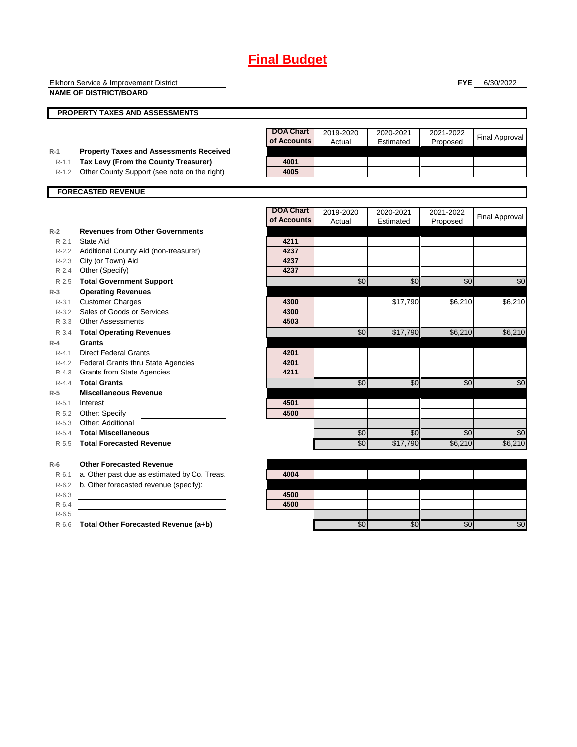|           | Elkhorn Service & Improvement District<br><b>NAME OF DISTRICT/BOARD</b> |                                 |                     |                        | <b>FYE</b>            | 6/30/2022             |
|-----------|-------------------------------------------------------------------------|---------------------------------|---------------------|------------------------|-----------------------|-----------------------|
|           |                                                                         |                                 |                     |                        |                       |                       |
|           | <b>PROPERTY TAXES AND ASSESSMENTS</b>                                   |                                 |                     |                        |                       |                       |
|           |                                                                         | <b>DOA Chart</b><br>of Accounts | 2019-2020<br>Actual | 2020-2021<br>Estimated | 2021-2022<br>Proposed | <b>Final Approval</b> |
| $R-1$     | <b>Property Taxes and Assessments Received</b>                          |                                 |                     |                        |                       |                       |
| $R-1.1$   | Tax Levy (From the County Treasurer)                                    | 4001                            |                     |                        |                       |                       |
| $R-1.2$   | Other County Support (see note on the right)                            | 4005                            |                     |                        |                       |                       |
|           | <b>FORECASTED REVENUE</b>                                               |                                 |                     |                        |                       |                       |
|           |                                                                         |                                 |                     |                        |                       |                       |
|           |                                                                         | <b>DOA Chart</b><br>of Accounts | 2019-2020<br>Actual | 2020-2021<br>Estimated | 2021-2022<br>Proposed | <b>Final Approval</b> |
| $R-2$     | <b>Revenues from Other Governments</b>                                  |                                 |                     |                        |                       |                       |
| $R - 2.1$ | State Aid                                                               | 4211                            |                     |                        |                       |                       |
|           | R-2.2 Additional County Aid (non-treasurer)                             | 4237                            |                     |                        |                       |                       |
|           | R-2.3 City (or Town) Aid                                                | 4237                            |                     |                        |                       |                       |
| R-2.4     | Other (Specify)                                                         | 4237                            |                     |                        |                       |                       |
| $R-2.5$   | <b>Total Government Support</b>                                         |                                 | \$0                 | \$0                    | \$0                   | \$0                   |
| $R-3$     | <b>Operating Revenues</b>                                               |                                 |                     |                        |                       |                       |
| $R-3.1$   | <b>Customer Charges</b>                                                 | 4300                            |                     | \$17,790               | \$6,210               | \$6,210               |
|           | R-3.2 Sales of Goods or Services                                        | 4300                            |                     |                        |                       |                       |
|           | R-3.3 Other Assessments                                                 | 4503                            |                     |                        |                       |                       |
| R-3.4     | <b>Total Operating Revenues</b>                                         |                                 | \$0                 | \$17,790               | \$6,210               | \$6,210               |
| $R-4$     | Grants                                                                  |                                 |                     |                        |                       |                       |
| $R - 4.1$ | <b>Direct Federal Grants</b>                                            | 4201                            |                     |                        |                       |                       |
|           | R-4.2 Federal Grants thru State Agencies                                | 4201                            |                     |                        |                       |                       |
|           | R-4.3 Grants from State Agencies                                        | 4211                            |                     |                        |                       |                       |
| $R-4.4$   | <b>Total Grants</b>                                                     |                                 | \$0                 | \$0                    | \$0                   | \$0                   |
| $R-5$     | <b>Miscellaneous Revenue</b>                                            |                                 |                     |                        |                       |                       |
| $R - 5.1$ | Interest                                                                | 4501                            |                     |                        |                       |                       |
| $R-5.2$   | Other: Specify                                                          | 4500                            |                     |                        |                       |                       |
| $R-5.3$   | Other: Additional                                                       |                                 |                     |                        |                       |                       |
| $R-5.4$   | <b>Total Miscellaneous</b>                                              |                                 | \$0                 | \$0                    | \$0                   | \$0                   |
| $R-5.5$   | <b>Total Forecasted Revenue</b>                                         |                                 | $\overline{30}$     | \$17,790               | \$6,210               | \$6,210               |
| $R-6$     | <b>Other Forecasted Revenue</b>                                         |                                 |                     |                        |                       |                       |
| $R-6.1$   | a. Other past due as estimated by Co. Treas.                            | 4004                            |                     |                        |                       |                       |
| $R-6.2$   | b. Other forecasted revenue (specify):                                  |                                 |                     |                        |                       |                       |
| $R-6.3$   |                                                                         | 4500                            |                     |                        |                       |                       |
| $R-6.4$   |                                                                         | 4500                            |                     |                        |                       |                       |
| $R-6.5$   |                                                                         |                                 |                     |                        |                       |                       |

R-6.6 **Total Other Forecasted Revenue (a+b) 12 \$0 \$0 \$0 \$0 \$0 \$0 \$0 \$0 \$0 \$0 \$0 \$0 \$0**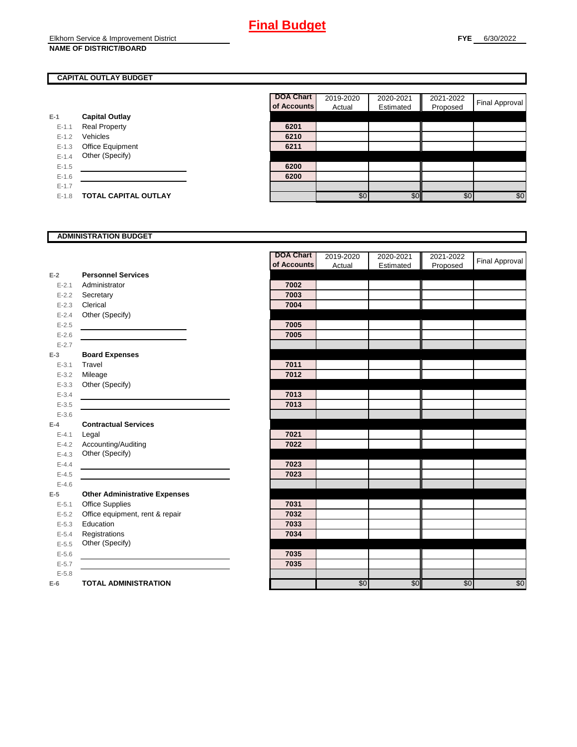### **CAPITAL OUTLAY BUDGET**

|           |                         | UI AGGUL |
|-----------|-------------------------|----------|
| E-1       | <b>Capital Outlay</b>   |          |
| $E - 1.1$ | <b>Real Property</b>    | 6201     |
| $E - 1.2$ | Vehicles                | 6210     |
| $E-1.3$   | <b>Office Equipment</b> | 6211     |
| $E - 1.4$ | Other (Specify)         |          |
| $E-1.5$   |                         | 6200     |
| $E - 1.6$ |                         | 6200     |
| $E - 1.7$ |                         |          |
| $E-1.8$   | TOTAL CAPITAL OUTLAY    |          |

| <b>DOA Chart</b><br>of Accounts | 2019-2020<br>Actual | 2020-2021<br>Estimated | 2021-2022<br>Proposed | Final Approval |
|---------------------------------|---------------------|------------------------|-----------------------|----------------|
|                                 |                     |                        |                       |                |
| 6201                            |                     |                        |                       |                |
| 6210                            |                     |                        |                       |                |
| 6211                            |                     |                        |                       |                |
|                                 |                     |                        |                       |                |
| 6200                            |                     |                        |                       |                |
| 6200                            |                     |                        |                       |                |
|                                 |                     |                        |                       |                |
|                                 | \$0                 | \$ſ                    | \$0                   | \$0            |

#### **ADMINISTRATION BUDGET**

|           |                                      | <b>DOA Chart</b> | 2019-2020 | 2020-2021 | 2021-2022 | <b>Final Approval</b> |
|-----------|--------------------------------------|------------------|-----------|-----------|-----------|-----------------------|
|           |                                      | of Accounts      | Actual    | Estimated | Proposed  |                       |
| $E-2$     | <b>Personnel Services</b>            |                  |           |           |           |                       |
| $E - 2.1$ | Administrator                        | 7002             |           |           |           |                       |
| $E - 2.2$ | Secretary                            | 7003             |           |           |           |                       |
| $E - 2.3$ | Clerical                             | 7004             |           |           |           |                       |
| $E - 2.4$ | Other (Specify)                      |                  |           |           |           |                       |
| $E-2.5$   |                                      | 7005             |           |           |           |                       |
| $E-2.6$   |                                      | 7005             |           |           |           |                       |
| $E - 2.7$ |                                      |                  |           |           |           |                       |
| $E-3$     | <b>Board Expenses</b>                |                  |           |           |           |                       |
| $E - 3.1$ | Travel                               | 7011             |           |           |           |                       |
| $E - 3.2$ | Mileage                              | 7012             |           |           |           |                       |
| $E - 3.3$ | Other (Specify)                      |                  |           |           |           |                       |
| $E - 3.4$ |                                      | 7013             |           |           |           |                       |
| $E - 3.5$ |                                      | 7013             |           |           |           |                       |
| $E - 3.6$ |                                      |                  |           |           |           |                       |
| $E-4$     | <b>Contractual Services</b>          |                  |           |           |           |                       |
| $E - 4.1$ | Legal                                | 7021             |           |           |           |                       |
| $E - 4.2$ | Accounting/Auditing                  | 7022             |           |           |           |                       |
| $E-4.3$   | Other (Specify)                      |                  |           |           |           |                       |
| $E - 4.4$ |                                      | 7023             |           |           |           |                       |
| $E - 4.5$ |                                      | 7023             |           |           |           |                       |
| $E-4.6$   |                                      |                  |           |           |           |                       |
| $E-5$     | <b>Other Administrative Expenses</b> |                  |           |           |           |                       |
| $E - 5.1$ | <b>Office Supplies</b>               | 7031             |           |           |           |                       |
| $E - 5.2$ | Office equipment, rent & repair      | 7032             |           |           |           |                       |
| $E - 5.3$ | Education                            | 7033             |           |           |           |                       |
| $E - 5.4$ | Registrations                        | 7034             |           |           |           |                       |
| $E - 5.5$ | Other (Specify)                      |                  |           |           |           |                       |
| $E - 5.6$ |                                      | 7035             |           |           |           |                       |
| $E - 5.7$ |                                      | 7035             |           |           |           |                       |
| $E - 5.8$ |                                      |                  |           |           |           |                       |
| $E-6$     | <b>TOTAL ADMINISTRATION</b>          |                  | \$0       | \$0       | \$0       | \$0                   |
|           |                                      |                  |           |           |           |                       |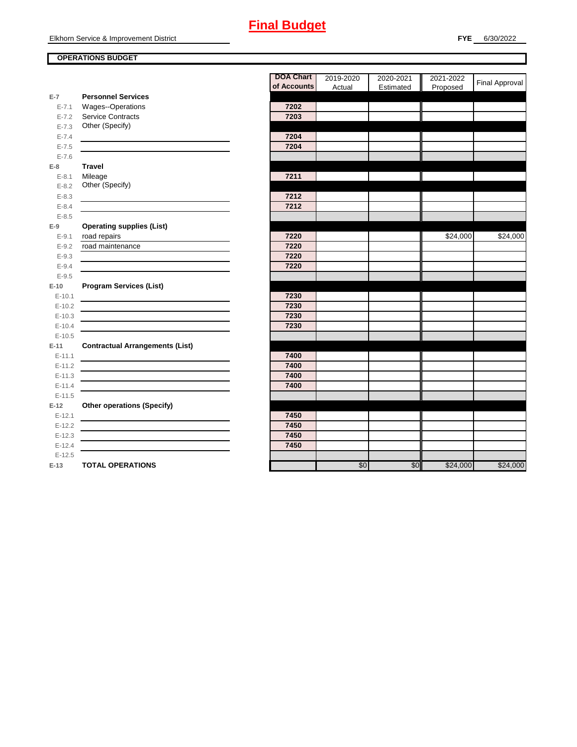### **OPERATIONS BUDGET**

|            |                                        | of Accou |
|------------|----------------------------------------|----------|
| $E-7$      | <b>Personnel Services</b>              |          |
| $E - 7.1$  | Wages--Operations                      | 7202     |
| $E - 7.2$  | <b>Service Contracts</b>               | 7203     |
| $E - 7.3$  | Other (Specify)                        |          |
| $E - 7.4$  |                                        | 7204     |
| $E - 7.5$  |                                        | 7204     |
| $E - 7.6$  |                                        |          |
| $E-8$      | <b>Travel</b>                          |          |
| $E - 8.1$  | Mileage                                | 7211     |
| $E - 8.2$  | Other (Specify)                        |          |
| $E - 8.3$  |                                        | 7212     |
| $E - 8.4$  |                                        | 7212     |
| $E - 8.5$  |                                        |          |
| $E-9$      | <b>Operating supplies (List)</b>       |          |
| $E - 9.1$  | road repairs                           | 7220     |
| $E - 9.2$  | road maintenance                       | 7220     |
| $E - 9.3$  |                                        | 7220     |
| $E - 9.4$  |                                        | 7220     |
| $E-9.5$    |                                        |          |
| $E-10$     | <b>Program Services (List)</b>         |          |
| $E - 10.1$ |                                        | 7230     |
| $E-10.2$   |                                        | 7230     |
| $E-10.3$   |                                        | 7230     |
| $E-10.4$   |                                        | 7230     |
| $E-10.5$   |                                        |          |
| $E-11$     | <b>Contractual Arrangements (List)</b> |          |
| $E-11.1$   |                                        | 7400     |
| $E-11.2$   |                                        | 7400     |
| $E-11.3$   |                                        | 7400     |
| $E-11.4$   |                                        | 7400     |
| $E-11.5$   |                                        |          |
| $E-12$     | <b>Other operations (Specify)</b>      |          |
| $E-12.1$   |                                        | 7450     |
| $E-12.2$   |                                        | 7450     |
| $E-12.3$   |                                        | 7450     |
| $E - 12.4$ |                                        | 7450     |
| $E-12.5$   |                                        |          |
| $E-13$     | <b>TOTAL OPERATIONS</b>                |          |

|            |                                        | <b>DOA Chart</b> | 2019-2020 | 2020-2021 | 2021-2022 | Final Approval |
|------------|----------------------------------------|------------------|-----------|-----------|-----------|----------------|
|            |                                        | of Accounts      | Actual    | Estimated | Proposed  |                |
| $E-7$      | <b>Personnel Services</b>              |                  |           |           |           |                |
| $E - 7.1$  | Wages--Operations                      | 7202             |           |           |           |                |
| $E - 7.2$  | Service Contracts                      | 7203             |           |           |           |                |
| $E - 7.3$  | Other (Specify)                        |                  |           |           |           |                |
| $E - 7.4$  |                                        | 7204             |           |           |           |                |
| $E - 7.5$  |                                        | 7204             |           |           |           |                |
| $E - 7.6$  |                                        |                  |           |           |           |                |
| $E-8$      | <b>Travel</b>                          |                  |           |           |           |                |
| $E-8.1$    | Mileage                                | 7211             |           |           |           |                |
| $E - 8.2$  | Other (Specify)                        |                  |           |           |           |                |
| $E - 8.3$  |                                        | 7212             |           |           |           |                |
| $E-8.4$    |                                        | 7212             |           |           |           |                |
| $E - 8.5$  |                                        |                  |           |           |           |                |
| E-9        | <b>Operating supplies (List)</b>       |                  |           |           |           |                |
| $E-9.1$    | road repairs                           | 7220             |           |           | \$24,000  | \$24,000       |
| $E - 9.2$  | road maintenance                       | 7220             |           |           |           |                |
| $E-9.3$    |                                        | 7220             |           |           |           |                |
| $E - 9.4$  |                                        | 7220             |           |           |           |                |
| $E - 9.5$  |                                        |                  |           |           |           |                |
| E-10       | <b>Program Services (List)</b>         |                  |           |           |           |                |
| $E - 10.1$ |                                        | 7230             |           |           |           |                |
| $E-10.2$   |                                        | 7230             |           |           |           |                |
| $E-10.3$   |                                        | 7230             |           |           |           |                |
| $E-10.4$   |                                        | 7230             |           |           |           |                |
| $E-10.5$   |                                        |                  |           |           |           |                |
| $E-11$     | <b>Contractual Arrangements (List)</b> |                  |           |           |           |                |
| $E-11.1$   |                                        | 7400             |           |           |           |                |
| $E-11.2$   |                                        | 7400             |           |           |           |                |
| $E-11.3$   |                                        | 7400             |           |           |           |                |
| $E-11.4$   |                                        | 7400             |           |           |           |                |
| $E-11.5$   |                                        |                  |           |           |           |                |
| $E-12$     | <b>Other operations (Specify)</b>      |                  |           |           |           |                |
| $E-12.1$   |                                        | 7450             |           |           |           |                |
| $E-12.2$   |                                        | 7450             |           |           |           |                |
| $E-12.3$   |                                        | 7450             |           |           |           |                |
| $E-12.4$   |                                        | 7450             |           |           |           |                |
| $E-12.5$   |                                        |                  |           |           |           |                |
| E-13       | <b>TOTAL OPERATIONS</b>                |                  | \$0       | \$0       | \$24,000  | \$24,000       |
|            |                                        |                  |           |           |           |                |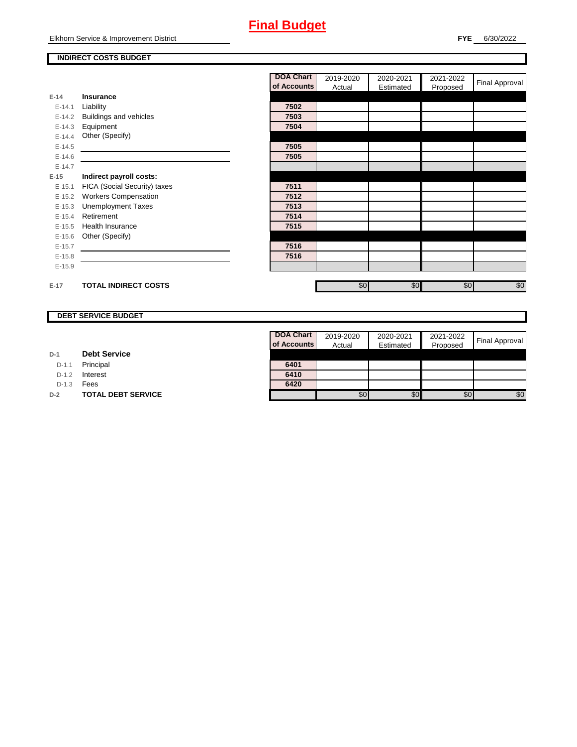### **INDIRECT COSTS BUDGET**

|          |                              | <b>DOA Chart</b> | 2019-2020 | 2020-2021 | 2021-2022 | Final Approval |
|----------|------------------------------|------------------|-----------|-----------|-----------|----------------|
|          |                              | of Accounts      | Actual    | Estimated | Proposed  |                |
| $E-14$   | <b>Insurance</b>             |                  |           |           |           |                |
| $E-14.1$ | Liability                    | 7502             |           |           |           |                |
| $E-14.2$ | Buildings and vehicles       | 7503             |           |           |           |                |
| $E-14.3$ | Equipment                    | 7504             |           |           |           |                |
| $E-14.4$ | Other (Specify)              |                  |           |           |           |                |
| $E-14.5$ |                              | 7505             |           |           |           |                |
| $E-14.6$ |                              | 7505             |           |           |           |                |
| $E-14.7$ |                              |                  |           |           |           |                |
| $E-15$   | Indirect payroll costs:      |                  |           |           |           |                |
| $E-15.1$ | FICA (Social Security) taxes | 7511             |           |           |           |                |
| $E-15.2$ | <b>Workers Compensation</b>  | 7512             |           |           |           |                |
| $E-15.3$ | <b>Unemployment Taxes</b>    | 7513             |           |           |           |                |
| $E-15.4$ | Retirement                   | 7514             |           |           |           |                |
| $E-15.5$ | <b>Health Insurance</b>      | 7515             |           |           |           |                |
| $E-15.6$ | Other (Specify)              |                  |           |           |           |                |
| $E-15.7$ |                              | 7516             |           |           |           |                |
| $E-15.8$ |                              | 7516             |           |           |           |                |
| $E-15.9$ |                              |                  |           |           |           |                |
|          |                              |                  |           |           |           |                |
| $E-17$   | <b>TOTAL INDIRECT COSTS</b>  |                  | \$0       | \$0       | \$0       | \$0            |

### **DEBT SERVICE BUDGET**

D-1.1 Principal

D-1.2 **Interest** 

D-1.3 **Fees** 

**D-2 TOTAL DEBT SERVICE** 

| <b>DOA Chart</b><br>of Accounts | 2019-2020<br>Actual | 2020-2021<br>Estimated | 2021-2022<br>Proposed | <b>Final Approval</b> |
|---------------------------------|---------------------|------------------------|-----------------------|-----------------------|
|                                 |                     |                        |                       |                       |
|                                 |                     |                        |                       |                       |
| 6401                            |                     |                        |                       |                       |
| 6410                            |                     |                        |                       |                       |
| 6420                            |                     |                        |                       |                       |
|                                 |                     |                        | \$0                   |                       |